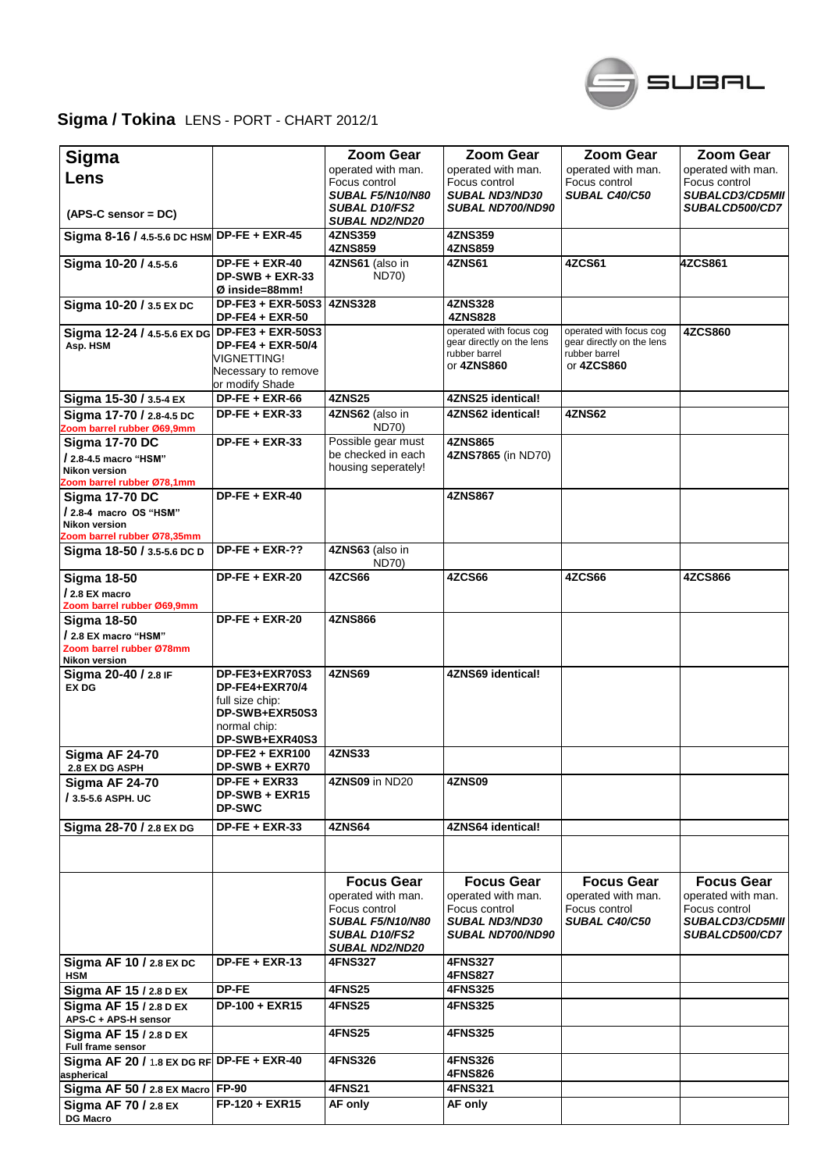

## **Sigma / Tokina** LENS - PORT - CHART 2012/1

| <b>Sigma</b>                                                   |                                | <b>Zoom Gear</b>                        | <b>Zoom Gear</b>                    | <b>Zoom Gear</b>                      | <b>Zoom Gear</b>                        |
|----------------------------------------------------------------|--------------------------------|-----------------------------------------|-------------------------------------|---------------------------------------|-----------------------------------------|
| Lens                                                           |                                | operated with man.<br>Focus control     | operated with man.<br>Focus control | operated with man.                    | operated with man.                      |
|                                                                |                                | <b>SUBAL F5/N10/N80</b>                 | <b>SUBAL ND3/ND30</b>               | Focus control<br><b>SUBAL C40/C50</b> | Focus control<br><b>SUBALCD3/CD5MII</b> |
|                                                                |                                | SUBAL D10/FS2                           | <b>SUBAL ND700/ND90</b>             |                                       | <b>SUBALCD500/CD7</b>                   |
| $(APS-C sensor = DC)$                                          |                                | <b>SUBAL ND2/ND20</b>                   |                                     |                                       |                                         |
| Sigma 8-16 / 4.5-5.6 DC HSM DP-FE + EXR-45                     |                                | 4ZNS359<br><b>4ZNS859</b>               | 4ZNS359<br>4ZNS859                  |                                       |                                         |
| Sigma 10-20 / 4.5-5.6                                          | $DP-FE + EXR-40$               | 4ZNS61 (also in                         | 4ZNS61                              | 4ZCS61                                | 4ZCS861                                 |
|                                                                | DP-SWB + EXR-33                | <b>ND70)</b>                            |                                     |                                       |                                         |
|                                                                | Ø inside=88mm!                 |                                         |                                     |                                       |                                         |
| Sigma 10-20 / 3.5 EX DC                                        | <b>DP-FE3 + EXR-50S3</b>       | <b>4ZNS328</b>                          | <b>4ZNS328</b><br><b>4ZNS828</b>    |                                       |                                         |
| Sigma 12-24 / 4.5-5.6 EX DG DP-FE3 + EXR-50S3                  | <b>DP-FE4 + EXR-50</b>         |                                         | operated with focus cog             | operated with focus cog               | 4ZCS860                                 |
| Asp. HSM                                                       | DP-FE4 + EXR-50/4              |                                         | gear directly on the lens           | gear directly on the lens             |                                         |
|                                                                | VIGNETTING!                    |                                         | rubber barrel                       | rubber barrel                         |                                         |
|                                                                | Necessary to remove            |                                         | or 4ZNS860                          | or 4ZCS860                            |                                         |
|                                                                | or modify Shade                |                                         |                                     |                                       |                                         |
| Sigma 15-30 / 3.5-4 EX                                         | $DP-FE + EXR-66$               | <b>4ZNS25</b>                           | 4ZNS25 identical!                   |                                       |                                         |
| Sigma 17-70 / 2.8-4.5 DC<br>Zoom barrel rubber Ø69,9mm         | $DP-FE + EXR-33$               | 4ZNS62 (also in<br>ND70)                | 4ZNS62 identical!                   | 4ZNS62                                |                                         |
| <b>Sigma 17-70 DC</b>                                          | $DP-FE + EXR-33$               | Possible gear must                      | 4ZNS865                             |                                       |                                         |
| / 2.8-4.5 macro "HSM"                                          |                                | be checked in each                      | 4ZNS7865 (in ND70)                  |                                       |                                         |
| <b>Nikon version</b>                                           |                                | housing seperately!                     |                                     |                                       |                                         |
| Zoom barrel rubber Ø78,1mm<br><b>Sigma 17-70 DC</b>            | $DP-FE + EXR-40$               |                                         | 4ZNS867                             |                                       |                                         |
| / 2.8-4 macro OS "HSM"                                         |                                |                                         |                                     |                                       |                                         |
| <b>Nikon version</b>                                           |                                |                                         |                                     |                                       |                                         |
| Zoom barrel rubber Ø78,35mm                                    |                                |                                         |                                     |                                       |                                         |
| Sigma 18-50 / 3.5-5.6 DC D                                     | $DP-FE + EXR-??$               | 4ZNS63 (also in<br><b>ND70)</b>         |                                     |                                       |                                         |
| <b>Sigma 18-50</b>                                             | <b>DP-FE + EXR-20</b>          | 4ZCS66                                  | 4ZCS66                              | <b>4ZCS66</b>                         | 4ZCS866                                 |
| / 2.8 EX macro                                                 |                                |                                         |                                     |                                       |                                         |
| Zoom barrel rubber Ø69,9mm                                     |                                |                                         |                                     |                                       |                                         |
| <b>Sigma 18-50</b>                                             | $DP-FE + EXR-20$               | <b>4ZNS866</b>                          |                                     |                                       |                                         |
| / 2.8 EX macro "HSM"                                           |                                |                                         |                                     |                                       |                                         |
| Zoom barrel rubber Ø78mm<br>Nikon version                      |                                |                                         |                                     |                                       |                                         |
| Sigma 20-40 / 2.8 IF                                           | DP-FE3+EXR70S3                 | <b>4ZNS69</b>                           | 4ZNS69 identical!                   |                                       |                                         |
| <b>EX DG</b>                                                   | DP-FE4+EXR70/4                 |                                         |                                     |                                       |                                         |
|                                                                | full size chip:                |                                         |                                     |                                       |                                         |
|                                                                | DP-SWB+EXR50S3                 |                                         |                                     |                                       |                                         |
|                                                                | normal chip:<br>DP-SWB+EXR40S3 |                                         |                                     |                                       |                                         |
| <b>Sigma AF 24-70</b>                                          | <b>DP-FE2 + EXR100</b>         | <b>4ZNS33</b>                           |                                     |                                       |                                         |
| <b>2.8 EX DG ASPH</b>                                          | DP-SWB + EXR70                 |                                         |                                     |                                       |                                         |
| <b>Sigma AF 24-70</b>                                          | DP-FE + EXR33                  | 4ZNS09 in ND20                          | 4ZNS09                              |                                       |                                         |
| / 3.5-5.6 ASPH. UC                                             | DP-SWB + EXR15                 |                                         |                                     |                                       |                                         |
|                                                                | <b>DP-SWC</b>                  |                                         |                                     |                                       |                                         |
| Sigma 28-70 / 2.8 EX DG                                        | $DP-FE + EXR-33$               | <b>4ZNS64</b>                           | 4ZNS64 identical!                   |                                       |                                         |
|                                                                |                                |                                         |                                     |                                       |                                         |
|                                                                |                                |                                         |                                     |                                       |                                         |
|                                                                |                                | <b>Focus Gear</b>                       | <b>Focus Gear</b>                   | <b>Focus Gear</b>                     | <b>Focus Gear</b>                       |
|                                                                |                                | operated with man.                      | operated with man.                  | operated with man.                    | operated with man.                      |
|                                                                |                                | Focus control                           | Focus control                       | Focus control                         | Focus control                           |
|                                                                |                                | <b>SUBAL F5/N10/N80</b>                 | <b>SUBAL ND3/ND30</b>               | <b>SUBAL C40/C50</b>                  | <b>SUBALCD3/CD5MII</b>                  |
|                                                                |                                | <b>SUBAL D10/FS2</b>                    | <b>SUBAL ND700/ND90</b>             |                                       | <b>SUBALCD500/CD7</b>                   |
|                                                                | $DP-FE + EXR-13$               | <b>SUBAL ND2/ND20</b><br><b>4FNS327</b> | <b>4FNS327</b>                      |                                       |                                         |
| Sigma AF 10 / 2.8 EX DC<br><b>HSM</b>                          |                                |                                         | <b>4FNS827</b>                      |                                       |                                         |
| Sigma AF 15 / 2.8 D EX                                         | DP-FE                          | <b>4FNS25</b>                           | 4FNS325                             |                                       |                                         |
| Sigma AF 15 / 2.8 D EX                                         | DP-100 + EXR15                 | 4FNS25                                  | 4FNS325                             |                                       |                                         |
| APS-C + APS-H sensor                                           |                                |                                         |                                     |                                       |                                         |
| Sigma AF 15 / 2.8 D EX                                         |                                | 4FNS25                                  | 4FNS325                             |                                       |                                         |
| Full frame sensor<br>Sigma AF 20 / 1.8 EX DG RF DP-FE + EXR-40 |                                | <b>4FNS326</b>                          | <b>4FNS326</b>                      |                                       |                                         |
| aspherical                                                     |                                |                                         | 4FNS826                             |                                       |                                         |
| Sigma AF 50 / 2.8 EX Macro                                     | <b>FP-90</b>                   | <b>4FNS21</b>                           | <b>4FNS321</b>                      |                                       |                                         |
| Sigma AF 70 / 2.8 EX                                           | FP-120 + EXR15                 | AF only                                 | AF only                             |                                       |                                         |
| <b>DG Macro</b>                                                |                                |                                         |                                     |                                       |                                         |